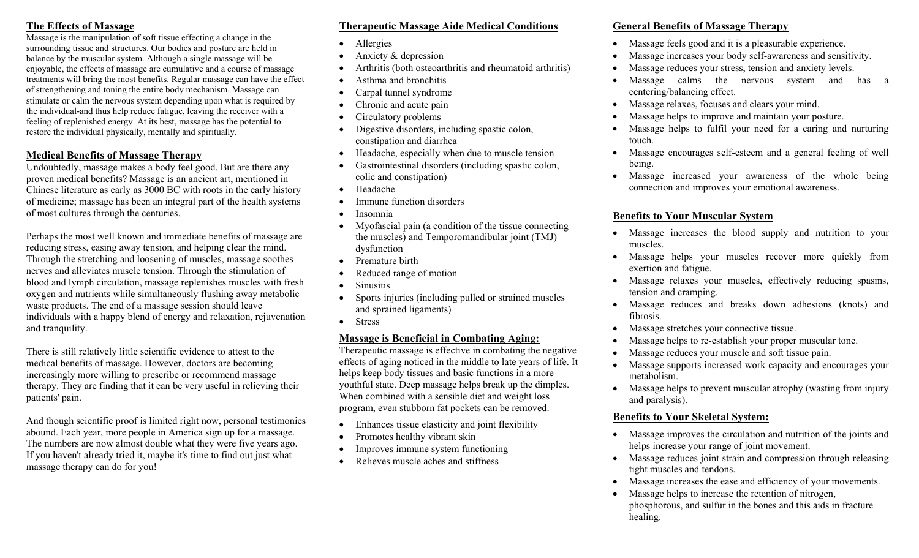#### **The Effects of Massage**

Massage is the manipulation of soft tissue effecting a change in the surrounding tissue and structures. Our bodies and posture are held in balance by the muscular system. Although a single massage will be enjoyable, the effects of massage are cumulative and a course of massage treatments will bring the most benefits. Regular massage can have the effect of strengthening and toning the entire body mechanism. Massage can stimulate or calm the nervous system depending upon what is required by the individual-and thus help reduce fatigue, leaving the receiver with a feeling of replenished energy. At its best, massage has the potential to restore the individual physically, mentally and spiritually.

#### **Medical Benefits of Massage Therapy**

Undoubtedly, massage makes a body feel good. But are there any proven medical benefits? Massage is an ancient art, mentioned in Chinese literature as early as 3000 BC with roots in the early history of medicine; massage has been an integral part of the health systems of most cultures through the centuries.

Perhaps the most well known and immediate benefits of massage are reducing stress, easing away tension, and helping clear the mind. Through the stretching and loosening of muscles, massage soothes nerves and alleviates muscle tension. Through the stimulation of blood and lymph circulation, massage replenishes muscles with fresh oxygen and nutrients while simultaneously flushing away metabolic waste products. The end of a massage session should leave individuals with a happy blend of energy and relaxation, rejuvenation and tranquility.

There is still relatively little scientific evidence to attest to the medical benefits of massage. However, doctors are becoming increasingly more willing to prescribe or recommend massage therapy. They are finding that it can be very useful in relieving their patients' pain.

And though scientific proof is limited right now, personal testimonies abound. Each year, more people in America sign up for a massage. The numbers are now almost double what they were five years ago. If you haven't already tried it, maybe it's time to find out just what massage therapy can do for you!

#### **Therapeutic Massage Aide Medical Conditions**

- •Allergies
- •Anxiety & depression
- •Arthritis (both osteoarthritis and rheumatoid arthritis)
- •Asthma and bronchitis
- •Carpal tunnel syndrome
- •Chronic and acute pain
- •Circulatory problems
- • Digestive disorders, including spastic colon, constipation and diarrhea
- •Headache, especially when due to muscle tension
- • Gastrointestinal disorders (including spastic colon, colic and constipation)
- •Headache
- •Immune function disorders
- •Insomnia
- • Myofascial pain (a condition of the tissue connecting the muscles) and Temporomandibular joint (TMJ) dysfunction
- •Premature birth
- •Reduced range of motion
- •**Sinusitis**
- • Sports injuries (including pulled or strained muscles and sprained ligaments)
- •Stress

# **Massage is Beneficial in Combating Aging:**

Therapeutic massage is effective in combating the negative effects of aging noticed in the middle to late years of life. It helps keep body tissues and basic functions in a more youthful state. Deep massage helps break up the dimples. When combined with a sensible diet and weight loss program, even stubborn fat pockets can be removed.

- •Enhances tissue elasticity and joint flexibility
- •Promotes healthy vibrant skin
- •Improves immune system functioning
- •Relieves muscle aches and stiffness

#### **General Benefits of Massage Therapy**

•

•

•

- Massage feels good and it is a pleasurable experience.
- Massage increases your body self-awareness and sensitivity.
- Massage reduces your stress, tension and anxiety levels.
- • Massage calms the nervous system and has a centering/balancing effect.
- •Massage relaxes, focuses and clears your mind.
- •Massage helps to improve and maintain your posture.
- $\bullet$  Massage helps to fulfil your need for a caring and nurturing touch.
- Massage encourages self-esteem and a general feeling of well being.
- Massage increased your awareness of the whole being connection and improves your emotional awareness.

# **Benefits to Your Muscular System**

- Massage increases the blood supply and nutrition to your muscles.
- Massage helps your muscles recover more quickly from exertion and fatigue.
- Massage relaxes your muscles, effectively reducing spasms, tension and cramping.
- Massage reduces and breaks down adhesions (knots) and fibrosis.
- •Massage stretches your connective tissue.
- •Massage helps to re-establish your proper muscular tone.
- Massage reduces your muscle and soft tissue pain.
- Massage supports increased work capacity and encourages your metabolism.
- Massage helps to prevent muscular atrophy (wasting from injury and paralysis).

# **Benefits to Your Skeletal System:**

- Massage improves the circulation and nutrition of the joints and helps increase your range of joint movement.
- Massage reduces joint strain and compression through releasing tight muscles and tendons.
- Massage increases the ease and efficiency of your movements.
- Massage helps to increase the retention of nitrogen, phosphorous, and sulfur in the bones and this aids in fracture healing.